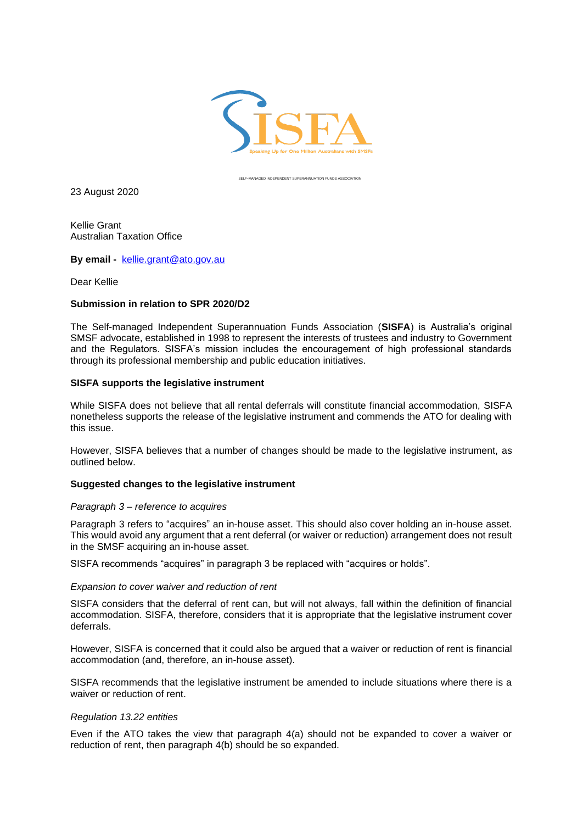

SELF-MANAGED INDEPENDENT SUPERANNUATION FUNDS ASSOCIATION

23 August 2020

Kellie Grant Australian Taxation Office

**By email -** [kellie.grant@ato.gov.au](mailto:kellie.grant@ato.gov.au)

Dear Kellie

## **Submission in relation to SPR 2020/D2**

The Self-managed Independent Superannuation Funds Association (**SISFA**) is Australia's original SMSF advocate, established in 1998 to represent the interests of trustees and industry to Government and the Regulators. SISFA's mission includes the encouragement of high professional standards through its professional membership and public education initiatives.

## **SISFA supports the legislative instrument**

While SISFA does not believe that all rental deferrals will constitute financial accommodation, SISFA nonetheless supports the release of the legislative instrument and commends the ATO for dealing with this issue.

However, SISFA believes that a number of changes should be made to the legislative instrument, as outlined below.

# **Suggested changes to the legislative instrument**

#### *Paragraph 3 – reference to acquires*

Paragraph 3 refers to "acquires" an in-house asset. This should also cover holding an in-house asset. This would avoid any argument that a rent deferral (or waiver or reduction) arrangement does not result in the SMSF acquiring an in-house asset.

SISFA recommends "acquires" in paragraph 3 be replaced with "acquires or holds".

### *Expansion to cover waiver and reduction of rent*

SISFA considers that the deferral of rent can, but will not always, fall within the definition of financial accommodation. SISFA, therefore, considers that it is appropriate that the legislative instrument cover deferrals.

However, SISFA is concerned that it could also be argued that a waiver or reduction of rent is financial accommodation (and, therefore, an in-house asset).

SISFA recommends that the legislative instrument be amended to include situations where there is a waiver or reduction of rent.

#### *Regulation 13.22 entities*

Even if the ATO takes the view that paragraph 4(a) should not be expanded to cover a waiver or reduction of rent, then paragraph 4(b) should be so expanded.